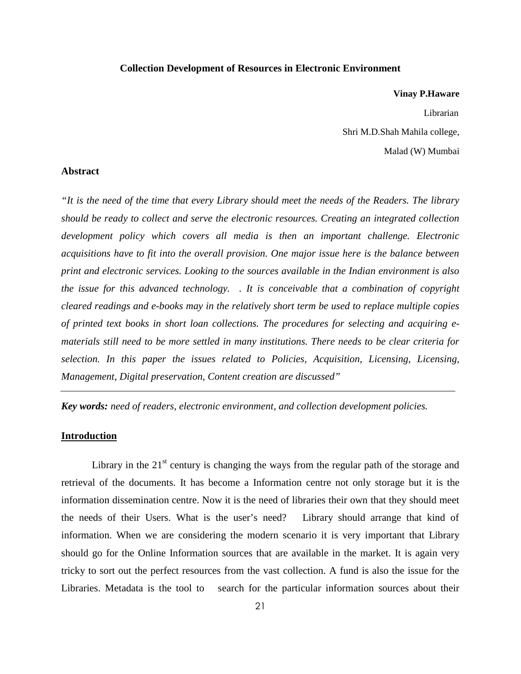## **Collection Development of Resources in Electronic Environment**

#### **Vinay P.Haware**

 Librarian Shri M.D.Shah Mahila college, Malad (W) Mumbai

# **Abstract**

*"It is the need of the time that every Library should meet the needs of the Readers. The library should be ready to collect and serve the electronic resources. Creating an integrated collection development policy which covers all media is then an important challenge. Electronic acquisitions have to fit into the overall provision. One major issue here is the balance between print and electronic services. Looking to the sources available in the Indian environment is also the issue for this advanced technology. . It is conceivable that a combination of copyright cleared readings and e-books may in the relatively short term be used to replace multiple copies of printed text books in short loan collections. The procedures for selecting and acquiring ematerials still need to be more settled in many institutions. There needs to be clear criteria for selection. In this paper the issues related to Policies, Acquisition, Licensing, Licensing, Management, Digital preservation, Content creation are discussed"*

*Key words: need of readers, electronic environment, and collection development policies.*

# **Introduction**

Library in the  $21<sup>st</sup>$  century is changing the ways from the regular path of the storage and retrieval of the documents. It has become a Information centre not only storage but it is the information dissemination centre. Now it is the need of libraries their own that they should meet the needs of their Users. What is the user's need? Library should arrange that kind of information. When we are considering the modern scenario it is very important that Library should go for the Online Information sources that are available in the market. It is again very tricky to sort out the perfect resources from the vast collection. A fund is also the issue for the Libraries. Metadata is the tool to search for the particular information sources about their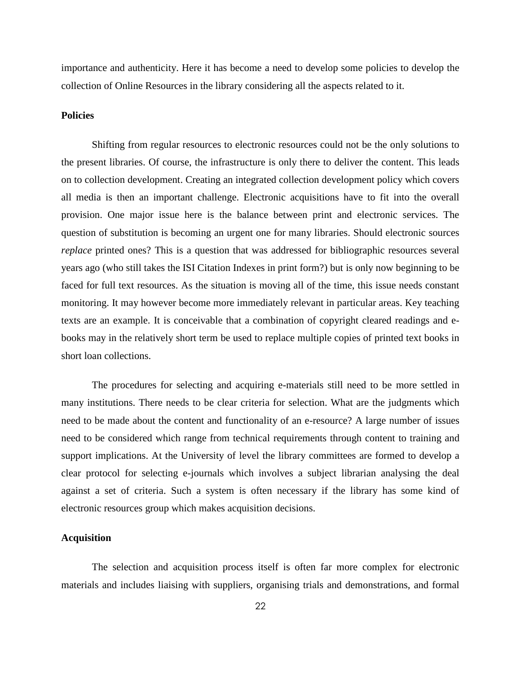importance and authenticity. Here it has become a need to develop some policies to develop the collection of Online Resources in the library considering all the aspects related to it.

## **Policies**

Shifting from regular resources to electronic resources could not be the only solutions to the present libraries. Of course, the infrastructure is only there to deliver the content. This leads on to collection development. Creating an integrated collection development policy which covers all media is then an important challenge. Electronic acquisitions have to fit into the overall provision. One major issue here is the balance between print and electronic services. The question of substitution is becoming an urgent one for many libraries. Should electronic sources *replace* printed ones? This is a question that was addressed for bibliographic resources several years ago (who still takes the ISI Citation Indexes in print form?) but is only now beginning to be faced for full text resources. As the situation is moving all of the time, this issue needs constant monitoring. It may however become more immediately relevant in particular areas. Key teaching texts are an example. It is conceivable that a combination of copyright cleared readings and ebooks may in the relatively short term be used to replace multiple copies of printed text books in short loan collections.

The procedures for selecting and acquiring e-materials still need to be more settled in many institutions. There needs to be clear criteria for selection. What are the judgments which need to be made about the content and functionality of an e-resource? A large number of issues need to be considered which range from technical requirements through content to training and support implications. At the University of level the library committees are formed to develop a clear protocol for selecting e-journals which involves a subject librarian analysing the deal against a set of criteria. Such a system is often necessary if the library has some kind of electronic resources group which makes acquisition decisions.

# **Acquisition**

The selection and acquisition process itself is often far more complex for electronic materials and includes liaising with suppliers, organising trials and demonstrations, and formal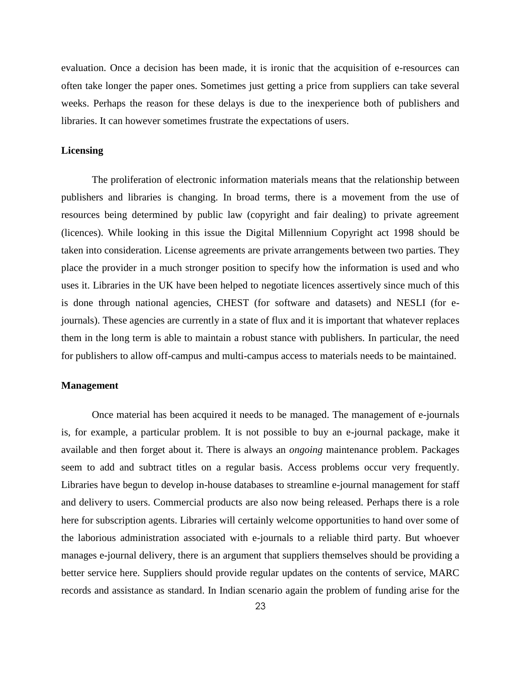evaluation. Once a decision has been made, it is ironic that the acquisition of e-resources can often take longer the paper ones. Sometimes just getting a price from suppliers can take several weeks. Perhaps the reason for these delays is due to the inexperience both of publishers and libraries. It can however sometimes frustrate the expectations of users.

# **Licensing**

The proliferation of electronic information materials means that the relationship between publishers and libraries is changing. In broad terms, there is a movement from the use of resources being determined by public law (copyright and fair dealing) to private agreement (licences). While looking in this issue the Digital Millennium Copyright act 1998 should be taken into consideration. License agreements are private arrangements between two parties. They place the provider in a much stronger position to specify how the information is used and who uses it. Libraries in the UK have been helped to negotiate licences assertively since much of this is done through national agencies, CHEST (for software and datasets) and NESLI (for ejournals). These agencies are currently in a state of flux and it is important that whatever replaces them in the long term is able to maintain a robust stance with publishers. In particular, the need for publishers to allow off-campus and multi-campus access to materials needs to be maintained.

## **Management**

Once material has been acquired it needs to be managed. The management of e-journals is, for example, a particular problem. It is not possible to buy an e-journal package, make it available and then forget about it. There is always an *ongoing* maintenance problem. Packages seem to add and subtract titles on a regular basis. Access problems occur very frequently. Libraries have begun to develop in-house databases to streamline e-journal management for staff and delivery to users. Commercial products are also now being released. Perhaps there is a role here for subscription agents. Libraries will certainly welcome opportunities to hand over some of the laborious administration associated with e-journals to a reliable third party. But whoever manages e-journal delivery, there is an argument that suppliers themselves should be providing a better service here. Suppliers should provide regular updates on the contents of service, MARC records and assistance as standard. In Indian scenario again the problem of funding arise for the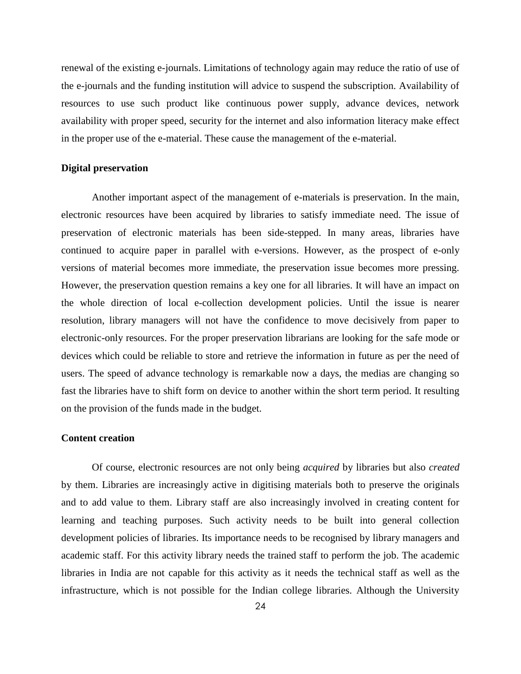renewal of the existing e-journals. Limitations of technology again may reduce the ratio of use of the e-journals and the funding institution will advice to suspend the subscription. Availability of resources to use such product like continuous power supply, advance devices, network availability with proper speed, security for the internet and also information literacy make effect in the proper use of the e-material. These cause the management of the e-material.

# **Digital preservation**

Another important aspect of the management of e-materials is preservation. In the main, electronic resources have been acquired by libraries to satisfy immediate need. The issue of preservation of electronic materials has been side-stepped. In many areas, libraries have continued to acquire paper in parallel with e-versions. However, as the prospect of e-only versions of material becomes more immediate, the preservation issue becomes more pressing. However, the preservation question remains a key one for all libraries. It will have an impact on the whole direction of local e-collection development policies. Until the issue is nearer resolution, library managers will not have the confidence to move decisively from paper to electronic-only resources. For the proper preservation librarians are looking for the safe mode or devices which could be reliable to store and retrieve the information in future as per the need of users. The speed of advance technology is remarkable now a days, the medias are changing so fast the libraries have to shift form on device to another within the short term period. It resulting on the provision of the funds made in the budget.

## **Content creation**

Of course, electronic resources are not only being *acquired* by libraries but also *created* by them. Libraries are increasingly active in digitising materials both to preserve the originals and to add value to them. Library staff are also increasingly involved in creating content for learning and teaching purposes. Such activity needs to be built into general collection development policies of libraries. Its importance needs to be recognised by library managers and academic staff. For this activity library needs the trained staff to perform the job. The academic libraries in India are not capable for this activity as it needs the technical staff as well as the infrastructure, which is not possible for the Indian college libraries. Although the University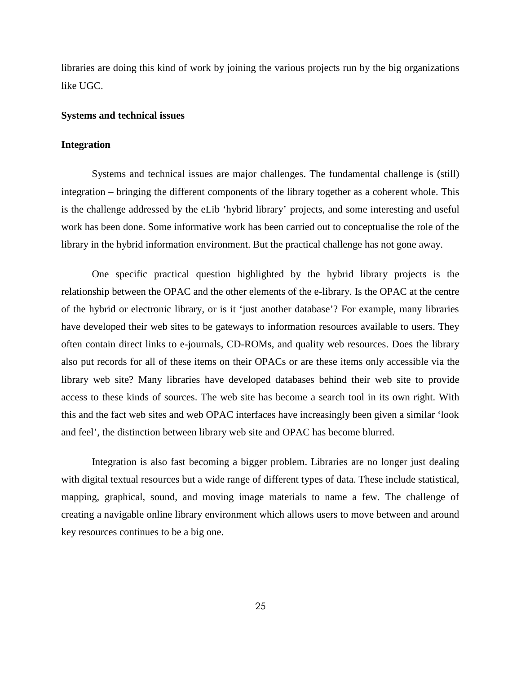libraries are doing this kind of work by joining the various projects run by the big organizations like UGC.

#### **Systems and technical issues**

### **Integration**

Systems and technical issues are major challenges. The fundamental challenge is (still) integration – bringing the different components of the library together as a coherent whole. This is the challenge addressed by the eLib 'hybrid library' projects, and some interesting and useful work has been done. Some informative work has been carried out to conceptualise the role of the library in the hybrid information environment. But the practical challenge has not gone away.

One specific practical question highlighted by the hybrid library projects is the relationship between the OPAC and the other elements of the e-library. Is the OPAC at the centre of the hybrid or electronic library, or is it 'just another database'? For example, many libraries have developed their web sites to be gateways to information resources available to users. They often contain direct links to e-journals, CD-ROMs, and quality web resources. Does the library also put records for all of these items on their OPACs or are these items only accessible via the library web site? Many libraries have developed databases behind their web site to provide access to these kinds of sources. The web site has become a search tool in its own right. With this and the fact web sites and web OPAC interfaces have increasingly been given a similar 'look and feel', the distinction between library web site and OPAC has become blurred.

Integration is also fast becoming a bigger problem. Libraries are no longer just dealing with digital textual resources but a wide range of different types of data. These include statistical, mapping, graphical, sound, and moving image materials to name a few. The challenge of creating a navigable online library environment which allows users to move between and around key resources continues to be a big one.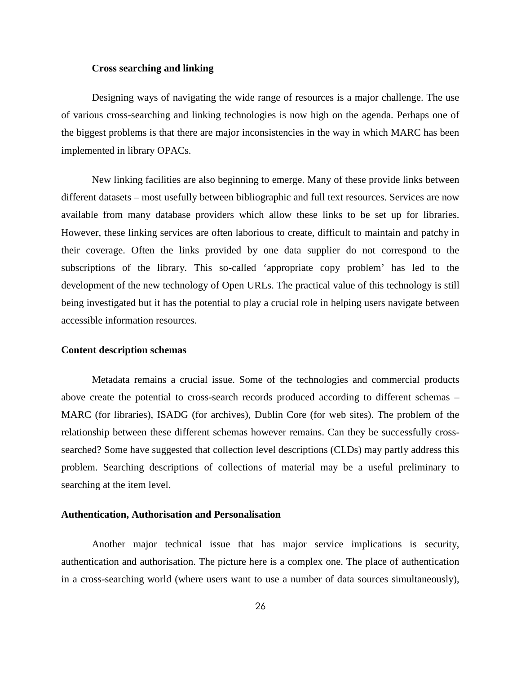### **Cross searching and linking**

Designing ways of navigating the wide range of resources is a major challenge. The use of various cross-searching and linking technologies is now high on the agenda. Perhaps one of the biggest problems is that there are major inconsistencies in the way in which MARC has been implemented in library OPACs.

New linking facilities are also beginning to emerge. Many of these provide links between different datasets – most usefully between bibliographic and full text resources. Services are now available from many database providers which allow these links to be set up for libraries. However, these linking services are often laborious to create, difficult to maintain and patchy in their coverage. Often the links provided by one data supplier do not correspond to the subscriptions of the library. This so-called 'appropriate copy problem' has led to the development of the new technology of Open URLs. The practical value of this technology is still being investigated but it has the potential to play a crucial role in helping users navigate between accessible information resources.

### **Content description schemas**

Metadata remains a crucial issue. Some of the technologies and commercial products above create the potential to cross-search records produced according to different schemas – MARC (for libraries), ISADG (for archives), Dublin Core (for web sites). The problem of the relationship between these different schemas however remains. Can they be successfully crosssearched? Some have suggested that collection level descriptions (CLDs) may partly address this problem. Searching descriptions of collections of material may be a useful preliminary to searching at the item level.

# **Authentication, Authorisation and Personalisation**

Another major technical issue that has major service implications is security, authentication and authorisation. The picture here is a complex one. The place of authentication in a cross-searching world (where users want to use a number of data sources simultaneously),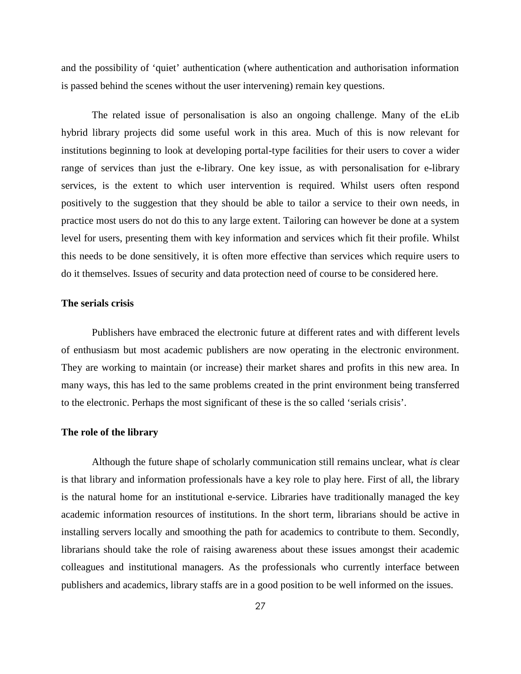and the possibility of 'quiet' authentication (where authentication and authorisation information is passed behind the scenes without the user intervening) remain key questions.

The related issue of personalisation is also an ongoing challenge. Many of the eLib hybrid library projects did some useful work in this area. Much of this is now relevant for institutions beginning to look at developing portal-type facilities for their users to cover a wider range of services than just the e-library. One key issue, as with personalisation for e-library services, is the extent to which user intervention is required. Whilst users often respond positively to the suggestion that they should be able to tailor a service to their own needs, in practice most users do not do this to any large extent. Tailoring can however be done at a system level for users, presenting them with key information and services which fit their profile. Whilst this needs to be done sensitively, it is often more effective than services which require users to do it themselves. Issues of security and data protection need of course to be considered here.

### **The serials crisis**

Publishers have embraced the electronic future at different rates and with different levels of enthusiasm but most academic publishers are now operating in the electronic environment. They are working to maintain (or increase) their market shares and profits in this new area. In many ways, this has led to the same problems created in the print environment being transferred to the electronic. Perhaps the most significant of these is the so called 'serials crisis'.

# **The role of the library**

Although the future shape of scholarly communication still remains unclear, what *is* clear is that library and information professionals have a key role to play here. First of all, the library is the natural home for an institutional e-service. Libraries have traditionally managed the key academic information resources of institutions. In the short term, librarians should be active in installing servers locally and smoothing the path for academics to contribute to them. Secondly, librarians should take the role of raising awareness about these issues amongst their academic colleagues and institutional managers. As the professionals who currently interface between publishers and academics, library staffs are in a good position to be well informed on the issues.